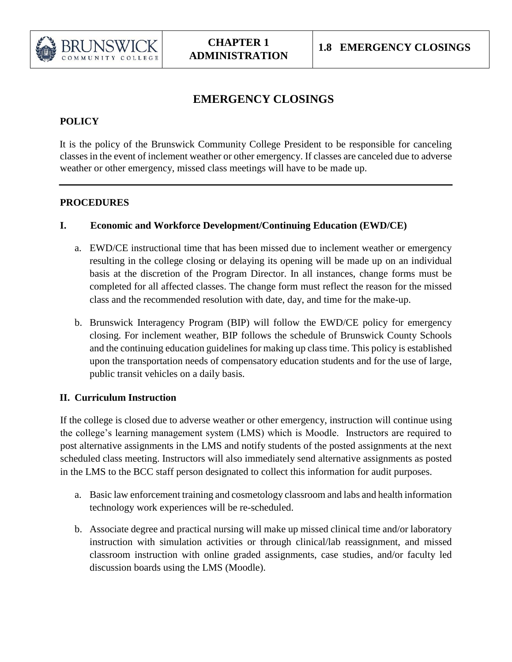

# **EMERGENCY CLOSINGS**

## **POLICY**

It is the policy of the Brunswick Community College President to be responsible for canceling classes in the event of inclement weather or other emergency. If classes are canceled due to adverse weather or other emergency, missed class meetings will have to be made up.

### **PROCEDURES**

### **I. Economic and Workforce Development/Continuing Education (EWD/CE)**

- a. EWD/CE instructional time that has been missed due to inclement weather or emergency resulting in the college closing or delaying its opening will be made up on an individual basis at the discretion of the Program Director. In all instances, change forms must be completed for all affected classes. The change form must reflect the reason for the missed class and the recommended resolution with date, day, and time for the make-up.
- b. Brunswick Interagency Program (BIP) will follow the EWD/CE policy for emergency closing. For inclement weather, BIP follows the schedule of Brunswick County Schools and the continuing education guidelines for making up class time. This policy is established upon the transportation needs of compensatory education students and for the use of large, public transit vehicles on a daily basis.

### **II. Curriculum Instruction**

If the college is closed due to adverse weather or other emergency, instruction will continue using the college's learning management system (LMS) which is Moodle. Instructors are required to post alternative assignments in the LMS and notify students of the posted assignments at the next scheduled class meeting. Instructors will also immediately send alternative assignments as posted in the LMS to the BCC staff person designated to collect this information for audit purposes.

- a. Basic law enforcement training and cosmetology classroom and labs and health information technology work experiences will be re-scheduled.
- b. Associate degree and practical nursing will make up missed clinical time and/or laboratory instruction with simulation activities or through clinical/lab reassignment, and missed classroom instruction with online graded assignments, case studies, and/or faculty led discussion boards using the LMS (Moodle).